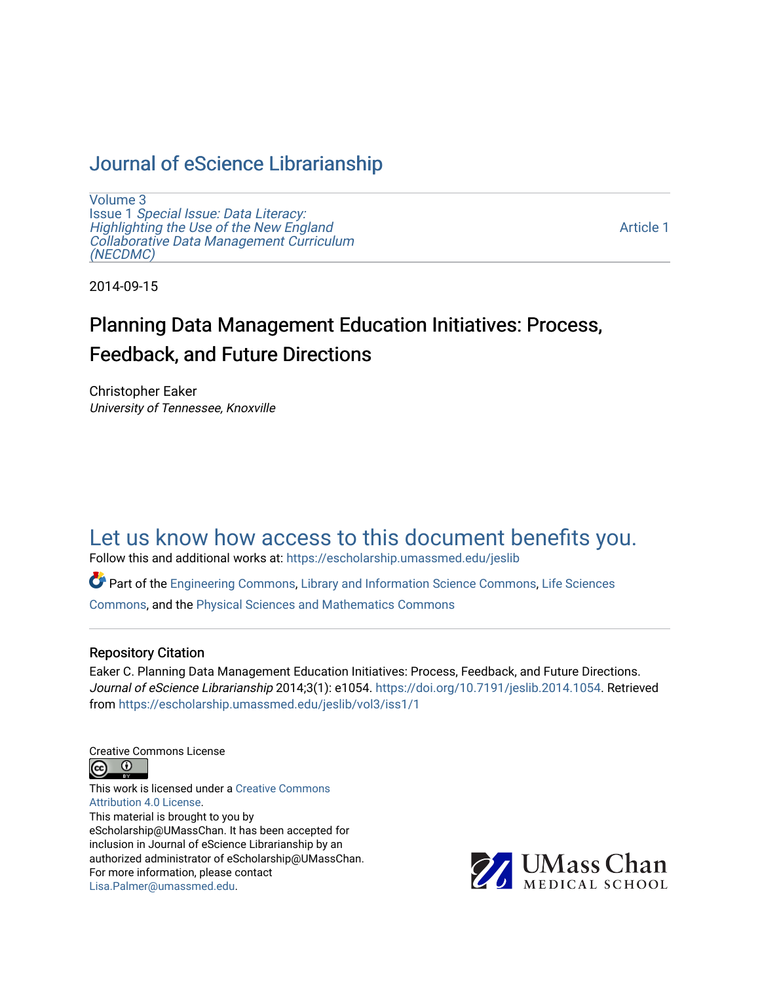# [Journal of eScience Librarianship](https://escholarship.umassmed.edu/jeslib)

[Volume 3](https://escholarship.umassmed.edu/jeslib/vol3) Issue 1 [Special Issue: Data Literacy:](https://escholarship.umassmed.edu/jeslib/vol3/iss1) [Highlighting the Use of the New England](https://escholarship.umassmed.edu/jeslib/vol3/iss1) [Collaborative Data Management Curriculum](https://escholarship.umassmed.edu/jeslib/vol3/iss1) [\(NECDMC\)](https://escholarship.umassmed.edu/jeslib/vol3/iss1) 

[Article 1](https://escholarship.umassmed.edu/jeslib/vol3/iss1/1) 

2014-09-15

# Planning Data Management Education Initiatives: Process, Feedback, and Future Directions

Christopher Eaker University of Tennessee, Knoxville

# [Let us know how access to this document benefits you.](https://arcsapps.umassmed.edu/redcap/surveys/?s=XWRHNF9EJE)

Follow this and additional works at: [https://escholarship.umassmed.edu/jeslib](https://escholarship.umassmed.edu/jeslib?utm_source=escholarship.umassmed.edu%2Fjeslib%2Fvol3%2Fiss1%2F1&utm_medium=PDF&utm_campaign=PDFCoverPages) 

Part of the [Engineering Commons](http://network.bepress.com/hgg/discipline/217?utm_source=escholarship.umassmed.edu%2Fjeslib%2Fvol3%2Fiss1%2F1&utm_medium=PDF&utm_campaign=PDFCoverPages), [Library and Information Science Commons](http://network.bepress.com/hgg/discipline/1018?utm_source=escholarship.umassmed.edu%2Fjeslib%2Fvol3%2Fiss1%2F1&utm_medium=PDF&utm_campaign=PDFCoverPages), [Life Sciences](http://network.bepress.com/hgg/discipline/1016?utm_source=escholarship.umassmed.edu%2Fjeslib%2Fvol3%2Fiss1%2F1&utm_medium=PDF&utm_campaign=PDFCoverPages)  [Commons](http://network.bepress.com/hgg/discipline/1016?utm_source=escholarship.umassmed.edu%2Fjeslib%2Fvol3%2Fiss1%2F1&utm_medium=PDF&utm_campaign=PDFCoverPages), and the [Physical Sciences and Mathematics Commons](http://network.bepress.com/hgg/discipline/114?utm_source=escholarship.umassmed.edu%2Fjeslib%2Fvol3%2Fiss1%2F1&utm_medium=PDF&utm_campaign=PDFCoverPages) 

#### Repository Citation

Eaker C. Planning Data Management Education Initiatives: Process, Feedback, and Future Directions. Journal of eScience Librarianship 2014;3(1): e1054. <https://doi.org/10.7191/jeslib.2014.1054>. Retrieved from [https://escholarship.umassmed.edu/jeslib/vol3/iss1/1](https://escholarship.umassmed.edu/jeslib/vol3/iss1/1?utm_source=escholarship.umassmed.edu%2Fjeslib%2Fvol3%2Fiss1%2F1&utm_medium=PDF&utm_campaign=PDFCoverPages) 

Creative Commons License



This work is licensed under a [Creative Commons](https://creativecommons.org/licenses/by/4.0/) [Attribution 4.0 License.](https://creativecommons.org/licenses/by/4.0/) This material is brought to you by eScholarship@UMassChan. It has been accepted for inclusion in Journal of eScience Librarianship by an authorized administrator of eScholarship@UMassChan. For more information, please contact [Lisa.Palmer@umassmed.edu](mailto:Lisa.Palmer@umassmed.edu).

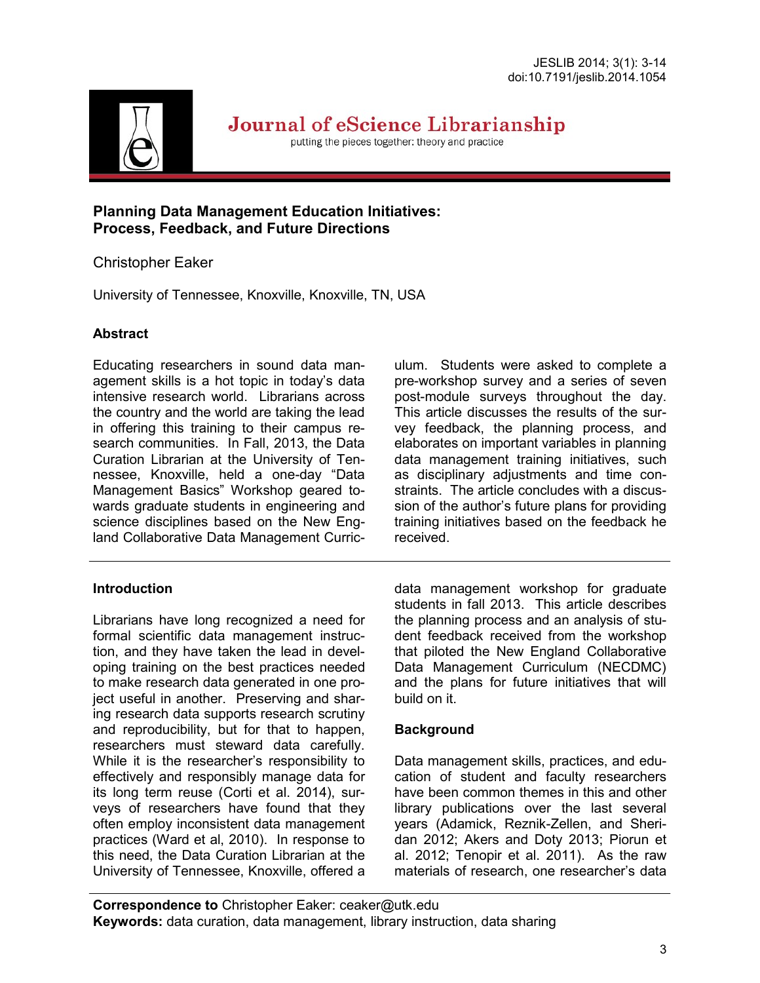

Journal of eScience Librarianship

putting the pieces together: theory and practice

## **Planning Data Management Education Initiatives: Process, Feedback, and Future Directions**

# Christopher Eaker

University of Tennessee, Knoxville, Knoxville, TN, USA

# **Abstract**

Educating researchers in sound data management skills is a hot topic in today's data intensive research world. Librarians across the country and the world are taking the lead in offering this training to their campus research communities. In Fall, 2013, the Data Curation Librarian at the University of Tennessee, Knoxville, held a one-day "Data Management Basics" Workshop geared towards graduate students in engineering and science disciplines based on the New England Collaborative Data Management Curric-

## **Introduction**

Librarians have long recognized a need for formal scientific data management instruction, and they have taken the lead in developing training on the best practices needed to make research data generated in one project useful in another. Preserving and sharing research data supports research scrutiny and reproducibility, but for that to happen, researchers must steward data carefully. While it is the researcher's responsibility to effectively and responsibly manage data for its long term reuse (Corti et al. 2014), surveys of researchers have found that they often employ inconsistent data management practices (Ward et al, 2010). In response to this need, the Data Curation Librarian at the University of Tennessee, Knoxville, offered a ulum. Students were asked to complete a pre-workshop survey and a series of seven post-module surveys throughout the day. This article discusses the results of the survey feedback, the planning process, and elaborates on important variables in planning data management training initiatives, such as disciplinary adjustments and time constraints. The article concludes with a discussion of the author's future plans for providing training initiatives based on the feedback he received.

data management workshop for graduate students in fall 2013. This article describes the planning process and an analysis of student feedback received from the workshop that piloted the New England Collaborative Data Management Curriculum (NECDMC) and the plans for future initiatives that will build on it.

# **Background**

Data management skills, practices, and education of student and faculty researchers have been common themes in this and other library publications over the last several years (Adamick, Reznik-Zellen, and Sheridan 2012; Akers and Doty 2013; Piorun et al. 2012; Tenopir et al. 2011). As the raw materials of research, one researcher's data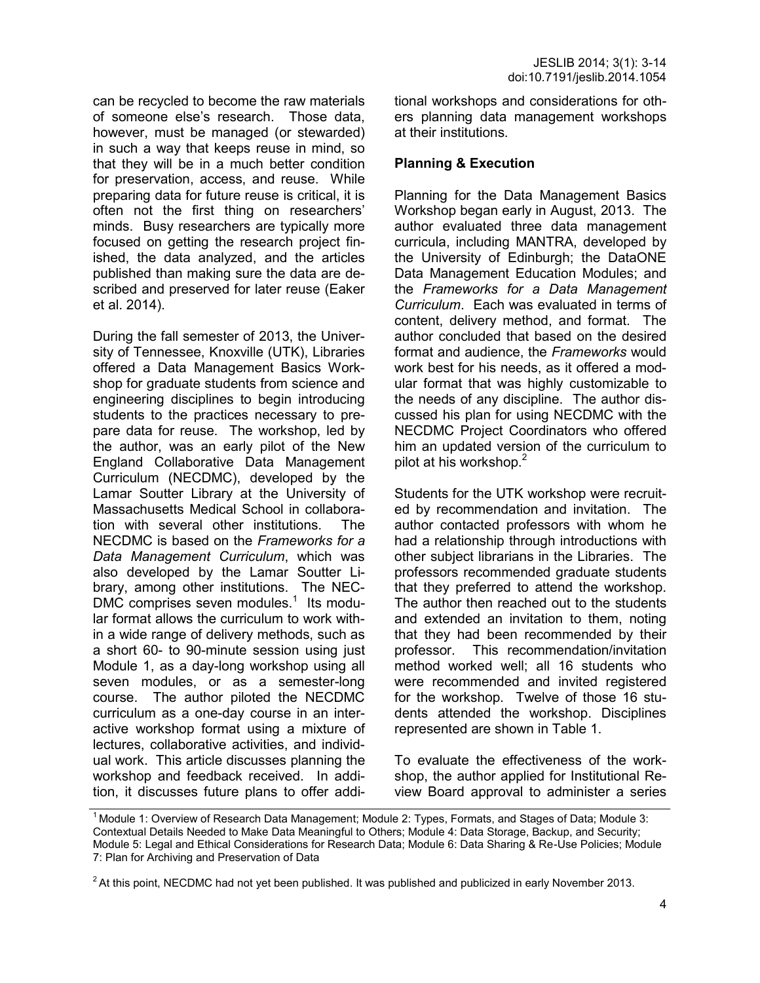can be recycled to become the raw materials of someone else's research. Those data, however, must be managed (or stewarded) in such a way that keeps reuse in mind, so that they will be in a much better condition for preservation, access, and reuse. While preparing data for future reuse is critical, it is often not the first thing on researchers' minds. Busy researchers are typically more focused on getting the research project finished, the data analyzed, and the articles published than making sure the data are described and preserved for later reuse (Eaker et al. 2014).

During the fall semester of 2013, the University of Tennessee, Knoxville (UTK), Libraries offered a Data Management Basics Workshop for graduate students from science and engineering disciplines to begin introducing students to the practices necessary to prepare data for reuse. The workshop, led by the author, was an early pilot of the New England Collaborative Data Management Curriculum (NECDMC), developed by the Lamar Soutter Library at the University of Massachusetts Medical School in collaboration with several other institutions. The NECDMC is based on the *Frameworks for a Data Management Curriculum*, which was also developed by the Lamar Soutter Library, among other institutions. The NEC- $DMC$  comprises seven modules.<sup>1</sup> Its modular format allows the curriculum to work within a wide range of delivery methods, such as a short 60- to 90-minute session using just Module 1, as a day-long workshop using all seven modules, or as a semester-long course. The author piloted the NECDMC curriculum as a one-day course in an interactive workshop format using a mixture of lectures, collaborative activities, and individual work. This article discusses planning the workshop and feedback received. In addition, it discusses future plans to offer additional workshops and considerations for others planning data management workshops at their institutions.

#### **Planning & Execution**

Planning for the Data Management Basics Workshop began early in August, 2013. The author evaluated three data management curricula, including MANTRA, developed by the University of Edinburgh; the DataONE Data Management Education Modules; and the *Frameworks for a Data Management Curriculum*. Each was evaluated in terms of content, delivery method, and format. The author concluded that based on the desired format and audience, the *Frameworks* would work best for his needs, as it offered a modular format that was highly customizable to the needs of any discipline. The author discussed his plan for using NECDMC with the NECDMC Project Coordinators who offered him an updated version of the curriculum to pilot at his workshop.<sup>2</sup>

Students for the UTK workshop were recruited by recommendation and invitation. The author contacted professors with whom he had a relationship through introductions with other subject librarians in the Libraries. The professors recommended graduate students that they preferred to attend the workshop. The author then reached out to the students and extended an invitation to them, noting that they had been recommended by their professor. This recommendation/invitation method worked well; all 16 students who were recommended and invited registered for the workshop. Twelve of those 16 students attended the workshop. Disciplines represented are shown in Table 1.

To evaluate the effectiveness of the workshop, the author applied for Institutional Review Board approval to administer a series

<sup>&</sup>lt;sup>1</sup> Module 1: Overview of Research Data Management; Module 2: Types, Formats, and Stages of Data; Module 3: Contextual Details Needed to Make Data Meaningful to Others; Module 4: Data Storage, Backup, and Security; Module 5: Legal and Ethical Considerations for Research Data; Module 6: Data Sharing & Re-Use Policies; Module 7: Plan for Archiving and Preservation of Data

<sup>&</sup>lt;sup>2</sup> At this point, NECDMC had not yet been published. It was published and publicized in early November 2013.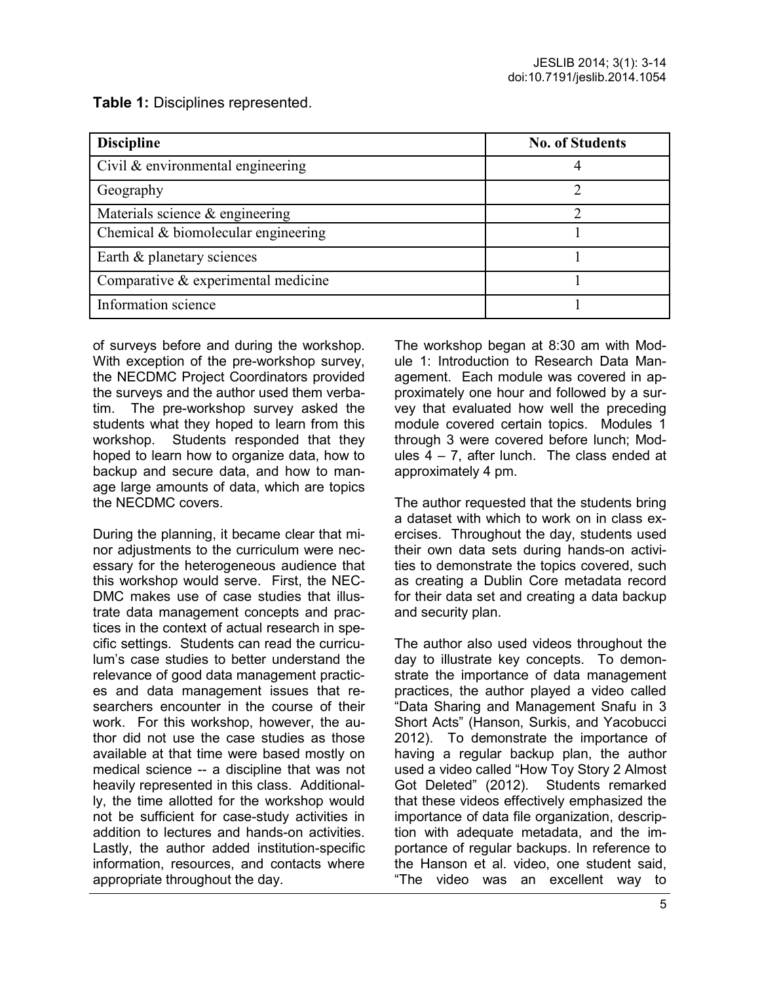**Table 1:** Disciplines represented.

| <b>Discipline</b>                   | <b>No. of Students</b> |
|-------------------------------------|------------------------|
| Civil & environmental engineering   |                        |
| Geography                           |                        |
| Materials science & engineering     |                        |
| Chemical & biomolecular engineering |                        |
| Earth & planetary sciences          |                        |
| Comparative & experimental medicine |                        |
| Information science                 |                        |

of surveys before and during the workshop. With exception of the pre-workshop survey, the NECDMC Project Coordinators provided the surveys and the author used them verbatim. The pre-workshop survey asked the students what they hoped to learn from this workshop. Students responded that they hoped to learn how to organize data, how to backup and secure data, and how to manage large amounts of data, which are topics the NECDMC covers.

During the planning, it became clear that minor adjustments to the curriculum were necessary for the heterogeneous audience that this workshop would serve. First, the NEC-DMC makes use of case studies that illustrate data management concepts and practices in the context of actual research in specific settings. Students can read the curriculum's case studies to better understand the relevance of good data management practices and data management issues that researchers encounter in the course of their work. For this workshop, however, the author did not use the case studies as those available at that time were based mostly on medical science -- a discipline that was not heavily represented in this class. Additionally, the time allotted for the workshop would not be sufficient for case-study activities in addition to lectures and hands-on activities. Lastly, the author added institution-specific information, resources, and contacts where appropriate throughout the day.

The workshop began at 8:30 am with Module 1: Introduction to Research Data Management. Each module was covered in approximately one hour and followed by a survey that evaluated how well the preceding module covered certain topics. Modules 1 through 3 were covered before lunch; Modules  $4 - 7$ , after lunch. The class ended at approximately 4 pm.

The author requested that the students bring a dataset with which to work on in class exercises. Throughout the day, students used their own data sets during hands-on activities to demonstrate the topics covered, such as creating a Dublin Core metadata record for their data set and creating a data backup and security plan.

The author also used videos throughout the day to illustrate key concepts. To demonstrate the importance of data management practices, the author played a video called "Data Sharing and Management Snafu in 3 Short Acts" (Hanson, Surkis, and Yacobucci 2012). To demonstrate the importance of having a regular backup plan, the author used a video called "How Toy Story 2 Almost Got Deleted" (2012). Students remarked that these videos effectively emphasized the importance of data file organization, description with adequate metadata, and the importance of regular backups. In reference to the Hanson et al. video, one student said, "The video was an excellent way to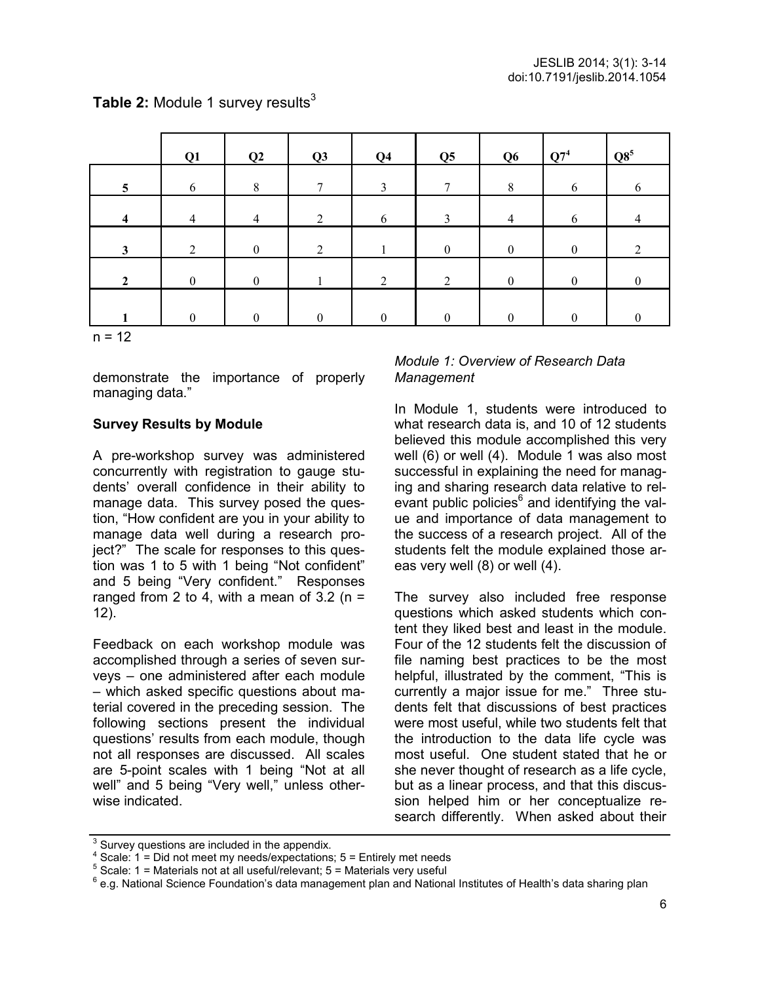|                         | Q1             | Q2               | Q3             | Q <sub>4</sub>   | Q <sub>5</sub>   | Q <sub>6</sub>   | $Q7^4$           | $\mathbf{Q8}^5$ |
|-------------------------|----------------|------------------|----------------|------------------|------------------|------------------|------------------|-----------------|
| $\overline{\mathbf{5}}$ | 6              | 8                | 7              | 3                | 7                | 8                | 6                | 6               |
| $\overline{\mathbf{4}}$ | $\overline{4}$ | 4                | 2              | 6                | 3                | $\overline{4}$   | 6                | $\overline{4}$  |
| $\mathbf{3}$            | $\overline{2}$ | $\boldsymbol{0}$ | $\overline{2}$ |                  | $\boldsymbol{0}$ | $\boldsymbol{0}$ | $\boldsymbol{0}$ | 2               |
| $\overline{2}$          | $\theta$       | $\theta$         |                | $\overline{2}$   | $\overline{2}$   | $\boldsymbol{0}$ | $\boldsymbol{0}$ |                 |
|                         | $\theta$       | $\theta$         | $\theta$       | $\boldsymbol{0}$ | $\boldsymbol{0}$ | $\theta$         | $\mathbf{0}$     | $\Omega$        |
| $n = 12$                |                |                  |                |                  |                  |                  |                  |                 |

**Table 2: Module 1 survey results<sup>3</sup>** 

demonstrate the importance of properly managing data."

## **Survey Results by Module**

A pre-workshop survey was administered concurrently with registration to gauge students' overall confidence in their ability to manage data. This survey posed the question, "How confident are you in your ability to manage data well during a research project?" The scale for responses to this question was 1 to 5 with 1 being "Not confident" and 5 being "Very confident." Responses ranged from 2 to 4, with a mean of  $3.2$  (n = 12).

Feedback on each workshop module was accomplished through a series of seven surveys – one administered after each module – which asked specific questions about material covered in the preceding session. The following sections present the individual questions' results from each module, though not all responses are discussed. All scales are 5-point scales with 1 being "Not at all well" and 5 being "Very well," unless otherwise indicated.

#### *Module 1: Overview of Research Data Management*

In Module 1, students were introduced to what research data is, and 10 of 12 students believed this module accomplished this very well (6) or well (4). Module 1 was also most successful in explaining the need for managing and sharing research data relative to relevant public policies<sup>6</sup> and identifying the value and importance of data management to the success of a research project. All of the students felt the module explained those areas very well (8) or well (4).

The survey also included free response questions which asked students which content they liked best and least in the module. Four of the 12 students felt the discussion of file naming best practices to be the most helpful, illustrated by the comment, "This is currently a major issue for me." Three students felt that discussions of best practices were most useful, while two students felt that the introduction to the data life cycle was most useful. One student stated that he or she never thought of research as a life cycle, but as a linear process, and that this discussion helped him or her conceptualize research differently. When asked about their

<sup>&</sup>lt;sup>3</sup> Survey questions are included in the appendix.

<sup>4</sup> Scale: 1 = Did not meet my needs/expectations; 5 = Entirely met needs

 $5$  Scale: 1 = Materials not at all useful/relevant; 5 = Materials very useful

<sup>&</sup>lt;sup>6</sup> e.g. National Science Foundation's data management plan and National Institutes of Health's data sharing plan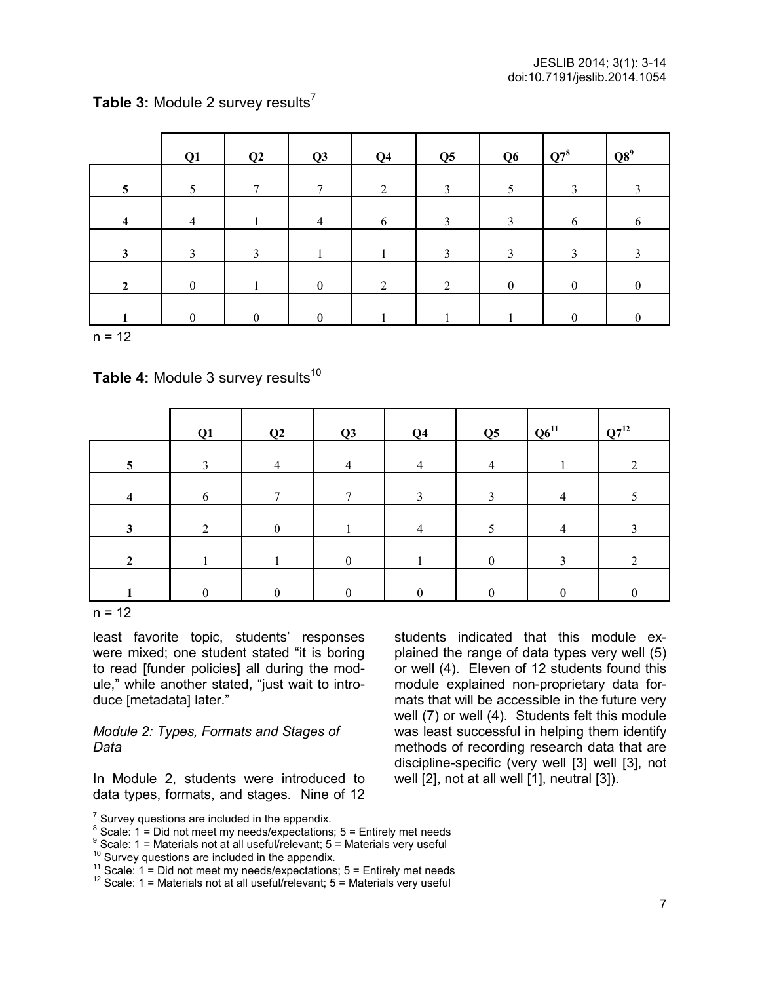| Table 3: Module 2 survey results <sup>7</sup> |  |
|-----------------------------------------------|--|
|-----------------------------------------------|--|

|                         | Q1               | Q2            | Q3               | Q <sub>4</sub> | Q <sub>5</sub> | Q <sub>6</sub> | $Q7^8$           | $Q8^9$         |
|-------------------------|------------------|---------------|------------------|----------------|----------------|----------------|------------------|----------------|
| $5\overline{)}$         | 5                | π             | $\mathbf{r}$     | $\overline{2}$ | 3              |                | 3                | 3              |
| $\overline{\mathbf{4}}$ | $\overline{4}$   |               | 4                | 6              | 3              | 3              | 6                | 6              |
| $\mathbf{3}$            | 3                | $\mathcal{E}$ |                  |                | 3              | 3              | $\mathbf{R}$     |                |
| $\overline{2}$          | $\boldsymbol{0}$ |               | $\boldsymbol{0}$ | 2              | $\overline{2}$ | $\mathbf{0}$   | $\boldsymbol{0}$ | $\overline{0}$ |
|                         | $\Omega$         | 0             | $\theta$         |                |                |                | $\boldsymbol{0}$ | $\theta$       |

 $n = 12$ 

**Table 4: Module 3 survey results<sup>10</sup>** 

|   | Q1 | Q2 | Q3           | Q <sub>4</sub> | Q5       | $Q6^{11}$      | $Q7^{12}$ |
|---|----|----|--------------|----------------|----------|----------------|-----------|
| 5 |    | 4  | 4            | 4              | 4        |                |           |
| 4 | 6  |    |              | 3              | 3        | $\overline{4}$ |           |
| 3 | ◠  | 0  |              | 4              |          | $\overline{4}$ |           |
|   |    |    | $\mathbf{0}$ |                | $\theta$ |                |           |
|   |    |    |              |                |          |                |           |

 $n = 12$ 

least favorite topic, students' responses were mixed; one student stated "it is boring to read [funder policies] all during the module," while another stated, "just wait to introduce [metadata] later."

#### *Module 2: Types, Formats and Stages of Data*

In Module 2, students were introduced to data types, formats, and stages. Nine of 12 students indicated that this module explained the range of data types very well (5) or well (4). Eleven of 12 students found this module explained non-proprietary data formats that will be accessible in the future very well (7) or well (4). Students felt this module was least successful in helping them identify methods of recording research data that are discipline-specific (very well [3] well [3], not well [2], not at all well [1], neutral [3]).

 $<sup>7</sup>$  Survey questions are included in the appendix.</sup>

 $8$  Scale: 1 = Did not meet my needs/expectations; 5 = Entirely met needs

 $9$  Scale: 1 = Materials not at all useful/relevant; 5 = Materials very useful

 $10$  Survey questions are included in the appendix.

<sup>&</sup>lt;sup>11</sup> Scale:  $1 =$  Did not meet my needs/expectations;  $5 =$  Entirely met needs

<sup>&</sup>lt;sup>12</sup> Scale: 1 = Materials not at all useful/relevant; 5 = Materials very useful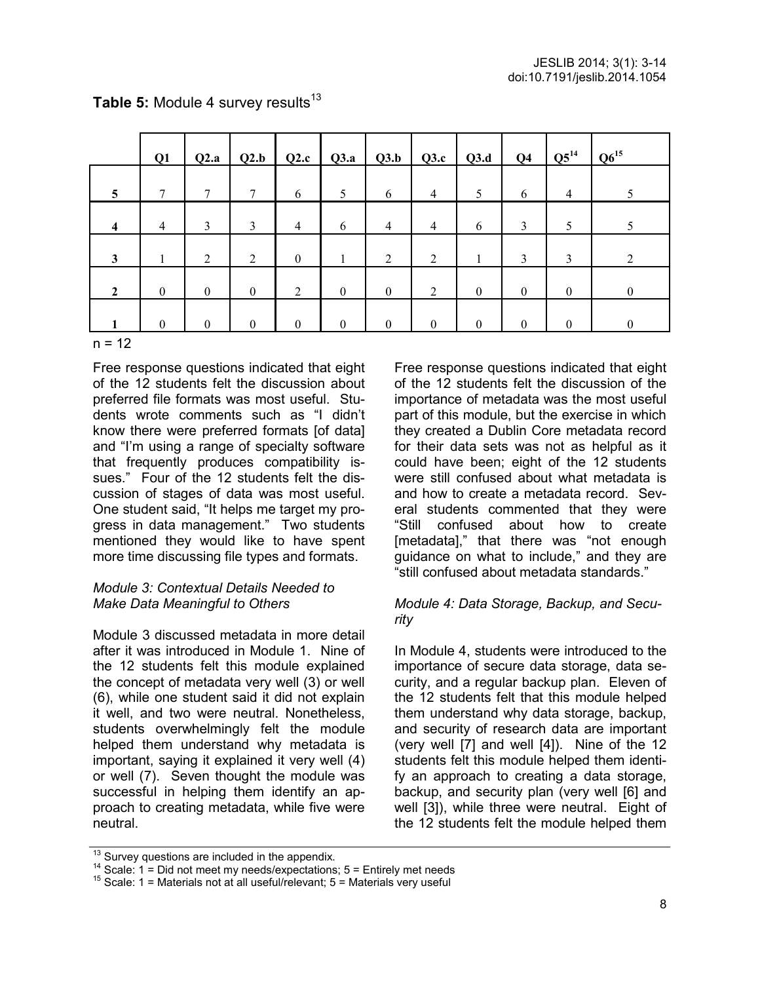|                         | Q1               | Q2.a             | Q2.b             |                  |                  |                  |                  |                  | Q4               | $Q5^{14}$      | $Q6^{15}$      |
|-------------------------|------------------|------------------|------------------|------------------|------------------|------------------|------------------|------------------|------------------|----------------|----------------|
| 5                       | 7                | 7                | 7                | 6                | 5                | 6                | $\overline{4}$   | 5                | 6                | $\overline{4}$ |                |
| $\overline{\mathbf{4}}$ | $\overline{4}$   | 3                | $\mathfrak{Z}$   | $\overline{4}$   | 6                | $\overline{4}$   | $\overline{4}$   | 6                | 3                | 5              |                |
| $\mathbf{3}$            | 1                | 2                | 2                | $\boldsymbol{0}$ |                  | 2                | $\overline{2}$   |                  | 3                | 3              | 2              |
| $\overline{2}$          | $\boldsymbol{0}$ | $\boldsymbol{0}$ | $\mathbf{0}$     | $\overline{2}$   | $\boldsymbol{0}$ | $\boldsymbol{0}$ | 2                | $\boldsymbol{0}$ | $\boldsymbol{0}$ | $\bf{0}$       | $\mathbf{0}$   |
|                         | $\theta$         | $\theta$         | $\boldsymbol{0}$ | $\theta$         | $\theta$         | $\boldsymbol{0}$ | $\boldsymbol{0}$ | $\boldsymbol{0}$ | $\boldsymbol{0}$ | $\theta$       | $\overline{0}$ |

## Table 5: Module 4 survey results<sup>13</sup>

 $n = 12$ 

Free response questions indicated that eight of the 12 students felt the discussion about preferred file formats was most useful. Students wrote comments such as "I didn't know there were preferred formats [of data] and "I'm using a range of specialty software that frequently produces compatibility issues." Four of the 12 students felt the discussion of stages of data was most useful. One student said, "It helps me target my progress in data management." Two students mentioned they would like to have spent more time discussing file types and formats.

#### *Module 3: Contextual Details Needed to Make Data Meaningful to Others*

Module 3 discussed metadata in more detail after it was introduced in Module 1. Nine of the 12 students felt this module explained the concept of metadata very well (3) or well (6), while one student said it did not explain it well, and two were neutral. Nonetheless, students overwhelmingly felt the module helped them understand why metadata is important, saying it explained it very well (4) or well (7). Seven thought the module was successful in helping them identify an approach to creating metadata, while five were neutral.

Free response questions indicated that eight of the 12 students felt the discussion of the importance of metadata was the most useful part of this module, but the exercise in which they created a Dublin Core metadata record for their data sets was not as helpful as it could have been; eight of the 12 students were still confused about what metadata is and how to create a metadata record. Several students commented that they were "Still confused about how to create [metadata]," that there was "not enough guidance on what to include," and they are "still confused about metadata standards."

#### *Module 4: Data Storage, Backup, and Security*

In Module 4, students were introduced to the importance of secure data storage, data security, and a regular backup plan. Eleven of the 12 students felt that this module helped them understand why data storage, backup, and security of research data are important (very well [7] and well [4]). Nine of the 12 students felt this module helped them identify an approach to creating a data storage, backup, and security plan (very well [6] and well [3]), while three were neutral. Eight of the 12 students felt the module helped them

 $13$  Survey questions are included in the appendix.

 $14$  Scale: 1 = Did not meet my needs/expectations; 5 = Entirely met needs

<sup>&</sup>lt;sup>15</sup> Scale: 1 = Materials not at all useful/relevant; 5 = Materials very useful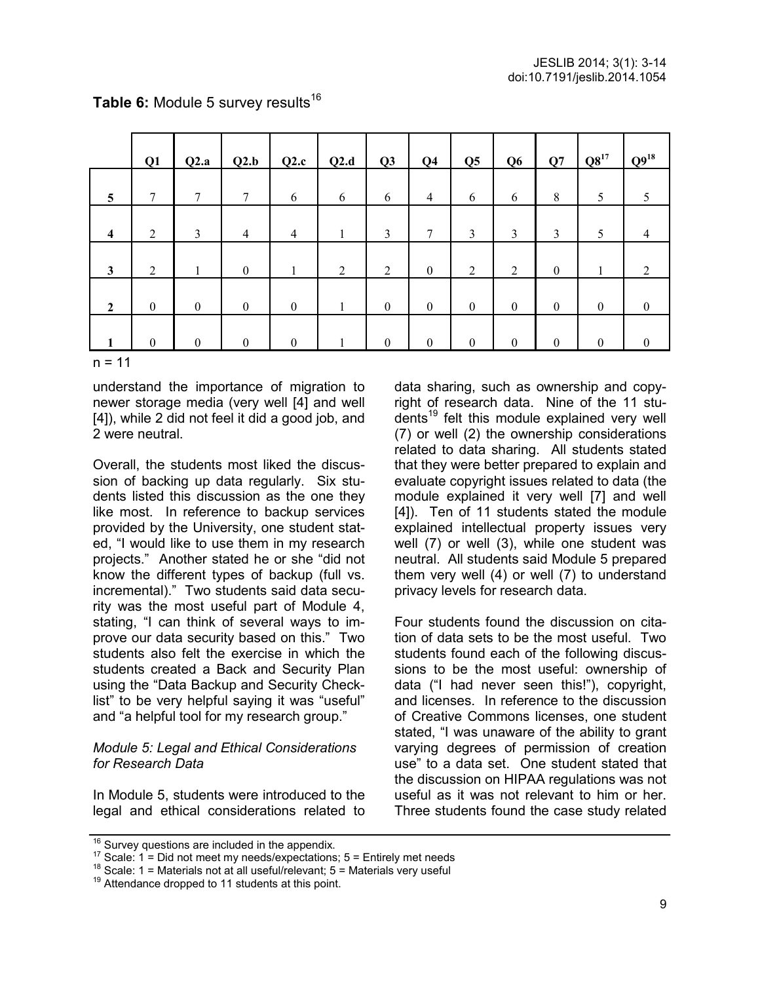|                         | Q1               | Q2.a             | Q2.b             | Q2.c             | Q2.d           | Q <sub>3</sub>   | Q <sub>4</sub>   | Q <sub>5</sub> | Q <sub>6</sub>   | Q7               | $Q8^{17}$        | $Q9^{18}$        |
|-------------------------|------------------|------------------|------------------|------------------|----------------|------------------|------------------|----------------|------------------|------------------|------------------|------------------|
| $\overline{5}$          | 7                | 7                | 7                | 6                | 6              | 6                | $\overline{4}$   | 6              | 6                | 8                | 5                | 5                |
| $\overline{\mathbf{4}}$ | $\overline{2}$   | $\mathfrak{Z}$   | $\overline{4}$   | $\overline{4}$   |                | 3                | $\tau$           | 3              | 3                | 3                | 5                | $\overline{4}$   |
| $\mathbf{3}$            | $\overline{2}$   |                  | $\boldsymbol{0}$ | J.               | $\overline{2}$ | $\overline{2}$   | $\boldsymbol{0}$ | $\overline{2}$ | 2                | $\boldsymbol{0}$ |                  | 2                |
| $\overline{2}$          | $\boldsymbol{0}$ | $\boldsymbol{0}$ | $\boldsymbol{0}$ | $\boldsymbol{0}$ |                | $\boldsymbol{0}$ | $\boldsymbol{0}$ | $\mathbf{0}$   | $\boldsymbol{0}$ | $\boldsymbol{0}$ | $\boldsymbol{0}$ | $\boldsymbol{0}$ |
|                         | $\mathbf{0}$     | $\boldsymbol{0}$ | $\boldsymbol{0}$ | $\boldsymbol{0}$ |                | $\boldsymbol{0}$ | $\mathbf{0}$     | $\mathbf{0}$   | $\overline{0}$   | $\boldsymbol{0}$ | $\mathbf{0}$     | $\theta$         |

## Table 6: Module 5 survey results<sup>16</sup>

 $n = 11$ 

understand the importance of migration to newer storage media (very well [4] and well [4]), while 2 did not feel it did a good job, and 2 were neutral.

Overall, the students most liked the discussion of backing up data regularly. Six students listed this discussion as the one they like most. In reference to backup services provided by the University, one student stated, "I would like to use them in my research projects." Another stated he or she "did not know the different types of backup (full vs. incremental)." Two students said data security was the most useful part of Module 4, stating, "I can think of several ways to improve our data security based on this." Two students also felt the exercise in which the students created a Back and Security Plan using the "Data Backup and Security Checklist" to be very helpful saying it was "useful" and "a helpful tool for my research group."

#### *Module 5: Legal and Ethical Considerations for Research Data*

In Module 5, students were introduced to the legal and ethical considerations related to data sharing, such as ownership and copyright of research data. Nine of the 11 students<sup>19</sup> felt this module explained very well (7) or well (2) the ownership considerations related to data sharing. All students stated that they were better prepared to explain and evaluate copyright issues related to data (the module explained it very well [7] and well [4]). Ten of 11 students stated the module explained intellectual property issues very well (7) or well (3), while one student was neutral. All students said Module 5 prepared them very well (4) or well (7) to understand privacy levels for research data.

Four students found the discussion on citation of data sets to be the most useful. Two students found each of the following discussions to be the most useful: ownership of data ("I had never seen this!"), copyright, and licenses. In reference to the discussion of Creative Commons licenses, one student stated, "I was unaware of the ability to grant varying degrees of permission of creation use" to a data set. One student stated that the discussion on HIPAA regulations was not useful as it was not relevant to him or her. Three students found the case study related

<sup>&</sup>lt;sup>16</sup> Survey questions are included in the appendix.

 $17$  Scale: 1 = Did not meet my needs/expectations; 5 = Entirely met needs

<sup>&</sup>lt;sup>18</sup> Scale: 1 = Materials not at all useful/relevant;  $5$  = Materials very useful

 $19$  Attendance dropped to 11 students at this point.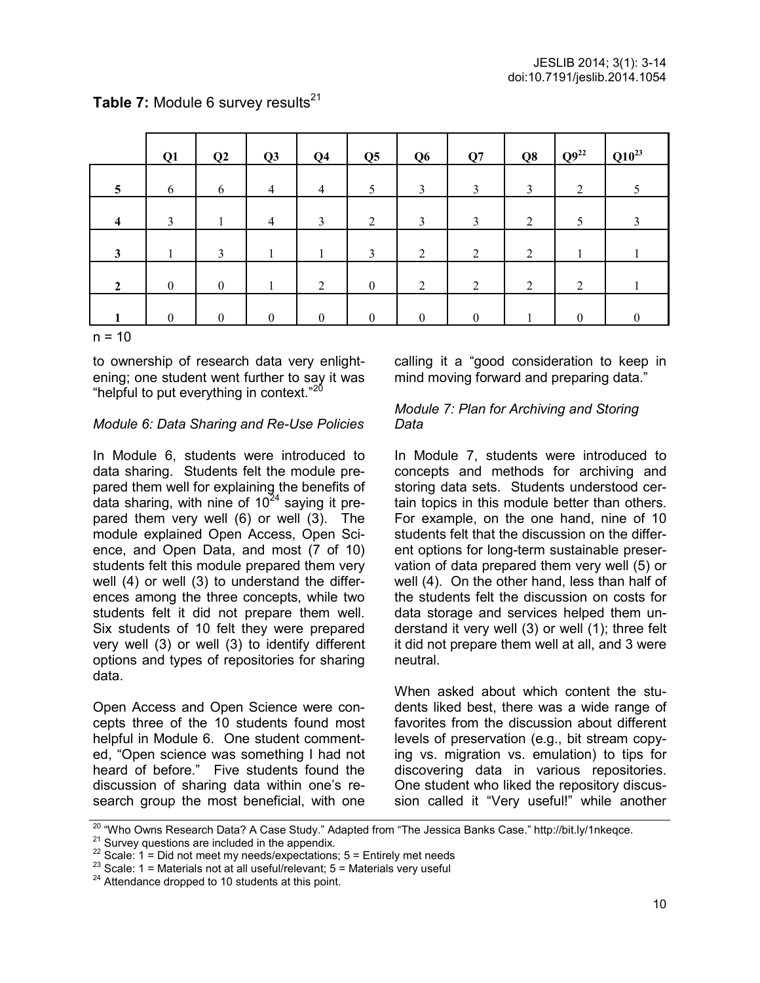|              | Q1               | Q2               | Q3             | Q <sub>4</sub> | Q <sub>5</sub>   | Q <sub>6</sub> | Q7       | Q8 | $Q^{9^{22}}$   | $Q10^{23}$ |
|--------------|------------------|------------------|----------------|----------------|------------------|----------------|----------|----|----------------|------------|
| 5            | 6                | 6                | $\overline{4}$ | 4              | 5                | 3              | 3        | 3  | $\overline{2}$ |            |
| 4            | 3                |                  | $\overline{4}$ | 3              | $\overline{2}$   | 3              | 3        | 2  | 5              |            |
| $\mathbf{3}$ |                  | 3                |                |                | 3                | $\overline{2}$ | 2        | 2  |                |            |
| $\mathbf{2}$ | $\boldsymbol{0}$ | $\boldsymbol{0}$ |                | $\overline{2}$ | $\boldsymbol{0}$ | $\overline{2}$ | 2        | 2  | $\overline{2}$ |            |
|              | $\theta$         | $\theta$         | $\theta$       | $\theta$       | $\theta$         | $\Omega$       | $\theta$ |    | $\Omega$       |            |

## **Table 7:** Module 6 survey results<sup>21</sup>

 $n = 10$ 

to ownership of research data very enlightening; one student went further to say it was "helpful to put everything in context."<sup>20</sup>

#### *Module 6: Data Sharing and Re-Use Policies*

In Module 6, students were introduced to data sharing. Students felt the module prepared them well for explaining the benefits of data sharing, with nine of  $10^{24}$  saying it prepared them very well (6) or well (3). The module explained Open Access, Open Science, and Open Data, and most (7 of 10) students felt this module prepared them very well (4) or well (3) to understand the differences among the three concepts, while two students felt it did not prepare them well. Six students of 10 felt they were prepared very well (3) or well (3) to identify different options and types of repositories for sharing data.

Open Access and Open Science were concepts three of the 10 students found most helpful in Module 6. One student commented, "Open science was something I had not heard of before." Five students found the discussion of sharing data within one's research group the most beneficial, with one calling it a "good consideration to keep in mind moving forward and preparing data."

#### *Module 7: Plan for Archiving and Storing Data*

In Module 7, students were introduced to concepts and methods for archiving and storing data sets. Students understood certain topics in this module better than others. For example, on the one hand, nine of 10 students felt that the discussion on the different options for long-term sustainable preservation of data prepared them very well (5) or well (4). On the other hand, less than half of the students felt the discussion on costs for data storage and services helped them understand it very well (3) or well (1); three felt it did not prepare them well at all, and 3 were neutral.

When asked about which content the students liked best, there was a wide range of favorites from the discussion about different levels of preservation (e.g., bit stream copying vs. migration vs. emulation) to tips for discovering data in various repositories. One student who liked the repository discussion called it "Very useful!" while another

<sup>&</sup>lt;sup>20</sup> "Who Owns Research Data? A Case Study." Adapted from "The Jessica Banks Case." http://bit.ly/1nkeqce.

 $21$  Survey questions are included in the appendix.

 $22$  Scale: 1 = Did not meet my needs/expectations; 5 = Entirely met needs

 $23$  Scale: 1 = Materials not at all useful/relevant; 5 = Materials very useful

 $24$  Attendance dropped to 10 students at this point.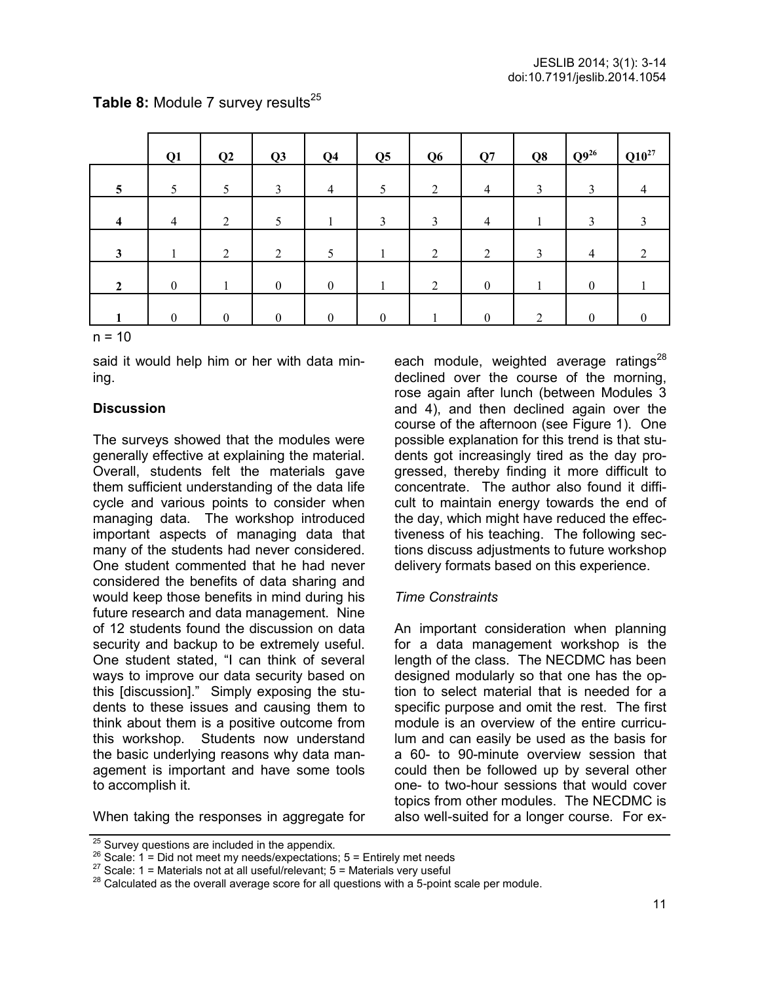|                 | Q1               | Q2             | Q3               | Q <sub>4</sub>   | Q <sub>5</sub> | Q <sub>6</sub> | Q7               | Q8             | $Q9^{26}$        | $Q10^{27}$ |
|-----------------|------------------|----------------|------------------|------------------|----------------|----------------|------------------|----------------|------------------|------------|
| $5\overline{)}$ | 5                | 5              | 3                | $\overline{4}$   | 5              | $\overline{2}$ | $\overline{4}$   | 3              | 3                | 4          |
| $\overline{4}$  | $\overline{4}$   | $\overline{2}$ | 5                |                  | 3              | 3              | $\overline{4}$   |                | 3                | 3          |
| $\mathbf{3}$    |                  | $\overline{2}$ | $\overline{2}$   | 5                |                | 2              | $\overline{2}$   | 3              | $\overline{4}$   | 2          |
| $\overline{2}$  | $\boldsymbol{0}$ |                | $\boldsymbol{0}$ | $\boldsymbol{0}$ |                | $\overline{2}$ | $\boldsymbol{0}$ |                | $\boldsymbol{0}$ |            |
|                 | $\theta$         | $\theta$       | $\theta$         | $\theta$         | $\Omega$       |                | $\Omega$         | $\overline{2}$ | $\Omega$         | $\Omega$   |

## Table 8: Module 7 survey results<sup>25</sup>

 $n = 10$ 

said it would help him or her with data mining.

#### **Discussion**

The surveys showed that the modules were generally effective at explaining the material. Overall, students felt the materials gave them sufficient understanding of the data life cycle and various points to consider when managing data. The workshop introduced important aspects of managing data that many of the students had never considered. One student commented that he had never considered the benefits of data sharing and would keep those benefits in mind during his future research and data management. Nine of 12 students found the discussion on data security and backup to be extremely useful. One student stated, "I can think of several ways to improve our data security based on this [discussion]." Simply exposing the students to these issues and causing them to think about them is a positive outcome from this workshop. Students now understand the basic underlying reasons why data management is important and have some tools to accomplish it.

each module, weighted average ratings<sup>28</sup> declined over the course of the morning, rose again after lunch (between Modules 3 and 4), and then declined again over the course of the afternoon (see Figure 1). One possible explanation for this trend is that students got increasingly tired as the day progressed, thereby finding it more difficult to concentrate. The author also found it difficult to maintain energy towards the end of the day, which might have reduced the effectiveness of his teaching. The following sections discuss adjustments to future workshop delivery formats based on this experience.

#### *Time Constraints*

An important consideration when planning for a data management workshop is the length of the class. The NECDMC has been designed modularly so that one has the option to select material that is needed for a specific purpose and omit the rest. The first module is an overview of the entire curriculum and can easily be used as the basis for a 60- to 90-minute overview session that could then be followed up by several other one- to two-hour sessions that would cover topics from other modules. The NECDMC is also well-suited for a longer course. For ex-

When taking the responses in aggregate for

 $25$  Survey questions are included in the appendix.

 $26$  Scale: 1 = Did not meet my needs/expectations; 5 = Entirely met needs

<sup>&</sup>lt;sup>27</sup> Scale: 1 = Materials not at all useful/relevant;  $5 =$  Materials very useful

 $28$  Calculated as the overall average score for all questions with a 5-point scale per module.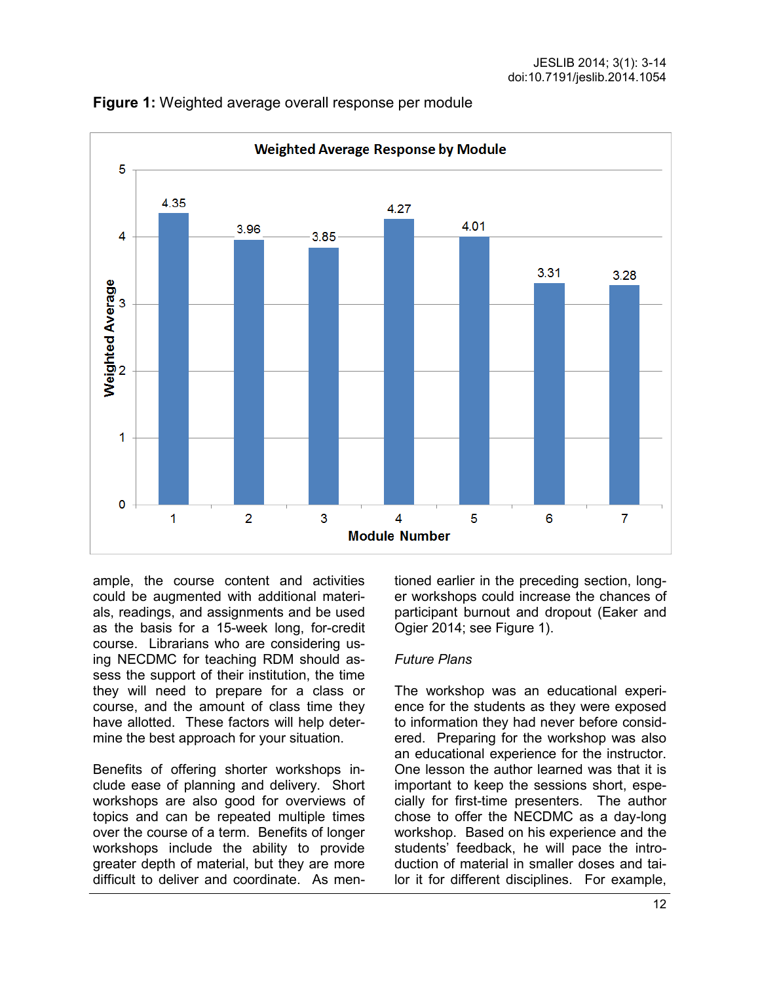

**Figure 1:** Weighted average overall response per module

ample, the course content and activities could be augmented with additional materials, readings, and assignments and be used as the basis for a 15-week long, for-credit course. Librarians who are considering using NECDMC for teaching RDM should assess the support of their institution, the time they will need to prepare for a class or course, and the amount of class time they have allotted. These factors will help determine the best approach for your situation.

Benefits of offering shorter workshops include ease of planning and delivery. Short workshops are also good for overviews of topics and can be repeated multiple times over the course of a term. Benefits of longer workshops include the ability to provide greater depth of material, but they are more difficult to deliver and coordinate. As mentioned earlier in the preceding section, longer workshops could increase the chances of participant burnout and dropout (Eaker and Ogier 2014; see Figure 1).

#### *Future Plans*

The workshop was an educational experience for the students as they were exposed to information they had never before considered. Preparing for the workshop was also an educational experience for the instructor. One lesson the author learned was that it is important to keep the sessions short, especially for first-time presenters. The author chose to offer the NECDMC as a day-long workshop. Based on his experience and the students' feedback, he will pace the introduction of material in smaller doses and tailor it for different disciplines. For example,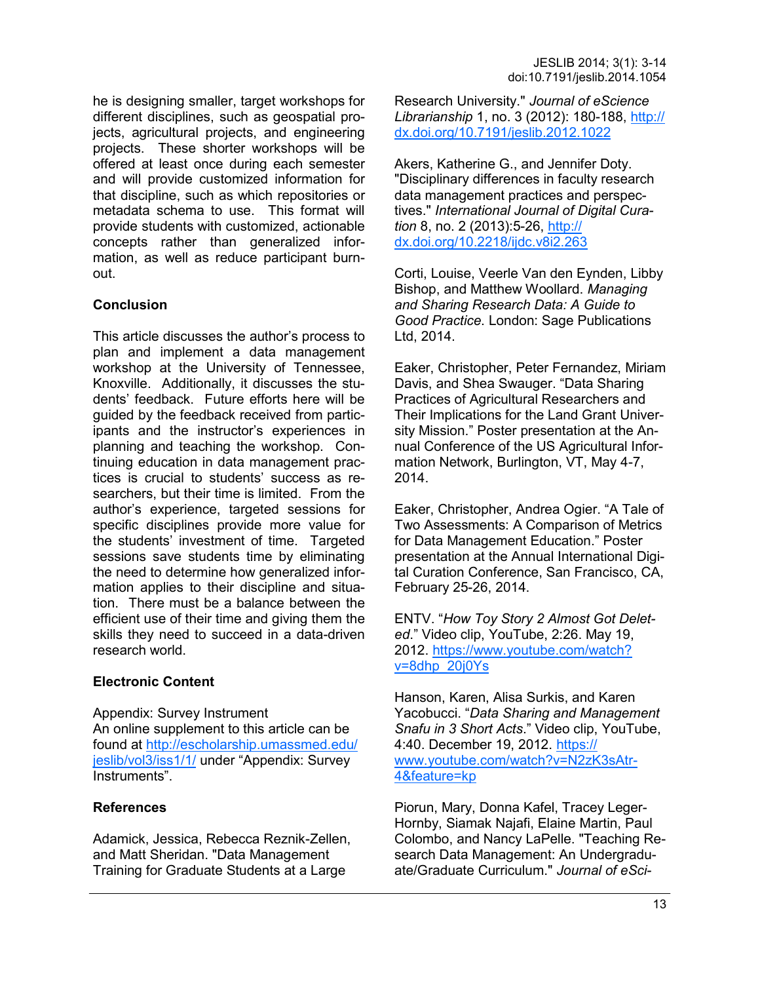he is designing smaller, target workshops for different disciplines, such as geospatial projects, agricultural projects, and engineering projects. These shorter workshops will be offered at least once during each semester and will provide customized information for that discipline, such as which repositories or metadata schema to use. This format will provide students with customized, actionable concepts rather than generalized information, as well as reduce participant burnout.

## **Conclusion**

This article discusses the author's process to plan and implement a data management workshop at the University of Tennessee, Knoxville. Additionally, it discusses the students' feedback. Future efforts here will be guided by the feedback received from participants and the instructor's experiences in planning and teaching the workshop. Continuing education in data management practices is crucial to students' success as researchers, but their time is limited. From the author's experience, targeted sessions for specific disciplines provide more value for the students' investment of time. Targeted sessions save students time by eliminating the need to determine how generalized information applies to their discipline and situation. There must be a balance between the efficient use of their time and giving them the skills they need to succeed in a data-driven research world.

#### **Electronic Content**

Appendix: Survey Instrument An online supplement to this article can be found at [http://escholarship.umassmed.edu/](http://escholarship.umassmed.edu/jeslib/vol3/iss1/1/) [jeslib/vol3/iss1/1/](http://escholarship.umassmed.edu/jeslib/vol3/iss1/1/) under "Appendix: Survey Instruments".

#### **References**

Adamick, Jessica, Rebecca Reznik-Zellen, and Matt Sheridan. "Data Management Training for Graduate Students at a Large

Research University." *Journal of eScience Librarianship* 1, no. 3 (2012): 180-188, [http://](http://dx.doi.org/10.7191/jeslib.2012.1022) [dx.doi.org/10.7191/jeslib.2012.1022](http://dx.doi.org/10.7191/jeslib.2012.1022)

Akers, Katherine G., and Jennifer Doty. "Disciplinary differences in faculty research data management practices and perspectives." *International Journal of Digital Curation* 8, no. 2 (2013):5-26, [http://](http://dx.doi.org/10.2218/ijdc.v8i2.263) [dx.doi.org/10.2218/ijdc.v8i2.263](http://dx.doi.org/10.2218/ijdc.v8i2.263)

Corti, Louise, Veerle Van den Eynden, Libby Bishop, and Matthew Woollard. *Managing and Sharing Research Data: A Guide to Good Practice*. London: Sage Publications Ltd, 2014.

Eaker, Christopher, Peter Fernandez, Miriam Davis, and Shea Swauger. "Data Sharing Practices of Agricultural Researchers and Their Implications for the Land Grant University Mission." Poster presentation at the Annual Conference of the US Agricultural Information Network, Burlington, VT, May 4-7, 2014.

Eaker, Christopher, Andrea Ogier. "A Tale of Two Assessments: A Comparison of Metrics for Data Management Education." Poster presentation at the Annual International Digital Curation Conference, San Francisco, CA, February 25-26, 2014.

ENTV. "*How Toy Story 2 Almost Got Deleted*." Video clip, YouTube, 2:26. May 19, 2012. [https://www.youtube.com/watch?](https://www.youtube.com/watch?v=8dhp_20j0Ys) [v=8dhp\\_20j0Ys](https://www.youtube.com/watch?v=8dhp_20j0Ys) 

Hanson, Karen, Alisa Surkis, and Karen Yacobucci. "*Data Sharing and Management Snafu in 3 Short Acts*." Video clip, YouTube, 4:40. December 19, 2012. [https://](https://www.youtube.com/watch?v=N2zK3sAtr-4&feature=kp) [www.youtube.com/watch?v=N2zK3sAtr](https://www.youtube.com/watch?v=N2zK3sAtr-4&feature=kp)-[4&feature=kp](https://www.youtube.com/watch?v=N2zK3sAtr-4&feature=kp)

Piorun, Mary, Donna Kafel, Tracey Leger-Hornby, Siamak Najafi, Elaine Martin, Paul Colombo, and Nancy LaPelle. "Teaching Research Data Management: An Undergraduate/Graduate Curriculum." *Journal of eSci-*